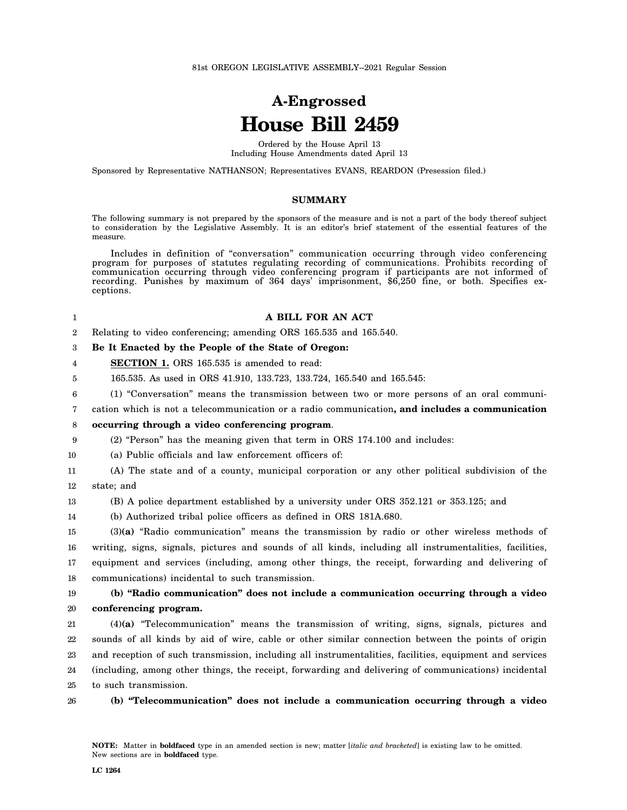# **A-Engrossed House Bill 2459**

Ordered by the House April 13 Including House Amendments dated April 13

Sponsored by Representative NATHANSON; Representatives EVANS, REARDON (Presession filed.)

## **SUMMARY**

The following summary is not prepared by the sponsors of the measure and is not a part of the body thereof subject to consideration by the Legislative Assembly. It is an editor's brief statement of the essential features of the measure.

Includes in definition of "conversation" communication occurring through video conferencing program for purposes of statutes regulating recording of communications. Prohibits recording of communication occurring through video conferencing program if participants are not informed of recording. Punishes by maximum of 364 days' imprisonment, \$6,250 fine, or both. Specifies exceptions.

## **A BILL FOR AN ACT**

2 Relating to video conferencing; amending ORS 165.535 and 165.540.

#### 3 **Be It Enacted by the People of the State of Oregon:**

4 **SECTION 1.** ORS 165.535 is amended to read:

- 5 165.535. As used in ORS 41.910, 133.723, 133.724, 165.540 and 165.545:
	- (1) "Conversation" means the transmission between two or more persons of an oral communi-
- 7 cation which is not a telecommunication or a radio communication**, and includes a communication**

#### 8 **occurring through a video conferencing program**.

- 9 (2) "Person" has the meaning given that term in ORS 174.100 and includes:
- 10 (a) Public officials and law enforcement officers of:
- 11 12 (A) The state and of a county, municipal corporation or any other political subdivision of the state; and
- 13 (B) A police department established by a university under ORS 352.121 or 353.125; and
- 14 (b) Authorized tribal police officers as defined in ORS 181A.680.

15 16 17 18 (3)**(a)** "Radio communication" means the transmission by radio or other wireless methods of writing, signs, signals, pictures and sounds of all kinds, including all instrumentalities, facilities, equipment and services (including, among other things, the receipt, forwarding and delivering of communications) incidental to such transmission.

19 20 **(b) "Radio communication" does not include a communication occurring through a video conferencing program.**

21 22 23 24 25 (4)**(a)** "Telecommunication" means the transmission of writing, signs, signals, pictures and sounds of all kinds by aid of wire, cable or other similar connection between the points of origin and reception of such transmission, including all instrumentalities, facilities, equipment and services (including, among other things, the receipt, forwarding and delivering of communications) incidental to such transmission.

26

1

6

**(b) "Telecommunication" does not include a communication occurring through a video**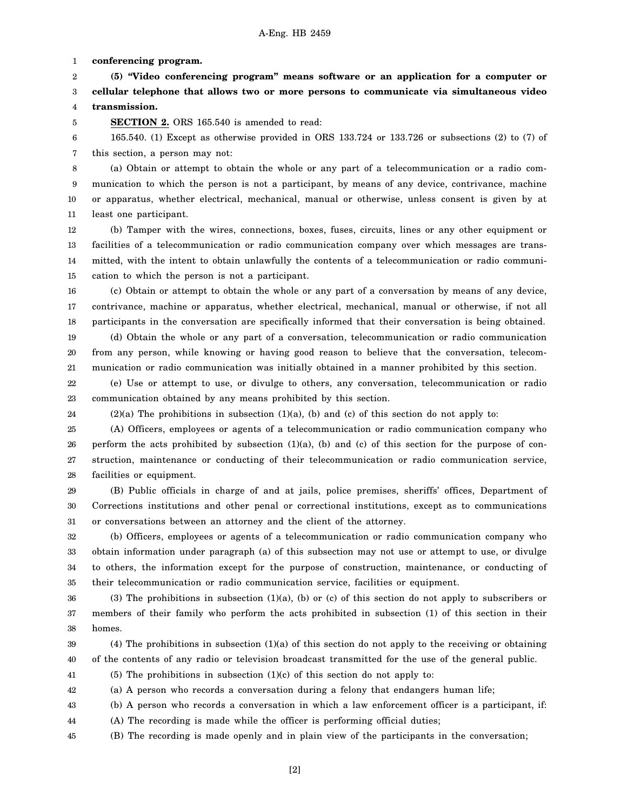1 **conferencing program.**

5

2 3 4 **(5) "Video conferencing program" means software or an application for a computer or cellular telephone that allows two or more persons to communicate via simultaneous video transmission.**

**SECTION 2.** ORS 165.540 is amended to read:

6 7 165.540. (1) Except as otherwise provided in ORS 133.724 or 133.726 or subsections (2) to (7) of this section, a person may not:

8 9 10 11 (a) Obtain or attempt to obtain the whole or any part of a telecommunication or a radio communication to which the person is not a participant, by means of any device, contrivance, machine or apparatus, whether electrical, mechanical, manual or otherwise, unless consent is given by at least one participant.

12 13 14 15 (b) Tamper with the wires, connections, boxes, fuses, circuits, lines or any other equipment or facilities of a telecommunication or radio communication company over which messages are transmitted, with the intent to obtain unlawfully the contents of a telecommunication or radio communication to which the person is not a participant.

16 17 18 19 20 (c) Obtain or attempt to obtain the whole or any part of a conversation by means of any device, contrivance, machine or apparatus, whether electrical, mechanical, manual or otherwise, if not all participants in the conversation are specifically informed that their conversation is being obtained. (d) Obtain the whole or any part of a conversation, telecommunication or radio communication from any person, while knowing or having good reason to believe that the conversation, telecom-

21 munication or radio communication was initially obtained in a manner prohibited by this section.

22 23 (e) Use or attempt to use, or divulge to others, any conversation, telecommunication or radio communication obtained by any means prohibited by this section.

24  $(2)(a)$  The prohibitions in subsection  $(1)(a)$ ,  $(b)$  and  $(c)$  of this section do not apply to:

25 26 27 28 (A) Officers, employees or agents of a telecommunication or radio communication company who perform the acts prohibited by subsection  $(1)(a)$ ,  $(b)$  and  $(c)$  of this section for the purpose of construction, maintenance or conducting of their telecommunication or radio communication service, facilities or equipment.

29 30 31 (B) Public officials in charge of and at jails, police premises, sheriffs' offices, Department of Corrections institutions and other penal or correctional institutions, except as to communications or conversations between an attorney and the client of the attorney.

32 33 34 35 (b) Officers, employees or agents of a telecommunication or radio communication company who obtain information under paragraph (a) of this subsection may not use or attempt to use, or divulge to others, the information except for the purpose of construction, maintenance, or conducting of their telecommunication or radio communication service, facilities or equipment.

36 37 38 (3) The prohibitions in subsection (1)(a), (b) or (c) of this section do not apply to subscribers or members of their family who perform the acts prohibited in subsection (1) of this section in their homes.

39 40 (4) The prohibitions in subsection (1)(a) of this section do not apply to the receiving or obtaining of the contents of any radio or television broadcast transmitted for the use of the general public.

41 (5) The prohibitions in subsection (1)(c) of this section do not apply to:

42 (a) A person who records a conversation during a felony that endangers human life;

43 (b) A person who records a conversation in which a law enforcement officer is a participant, if:

- 44 (A) The recording is made while the officer is performing official duties;
- 45 (B) The recording is made openly and in plain view of the participants in the conversation;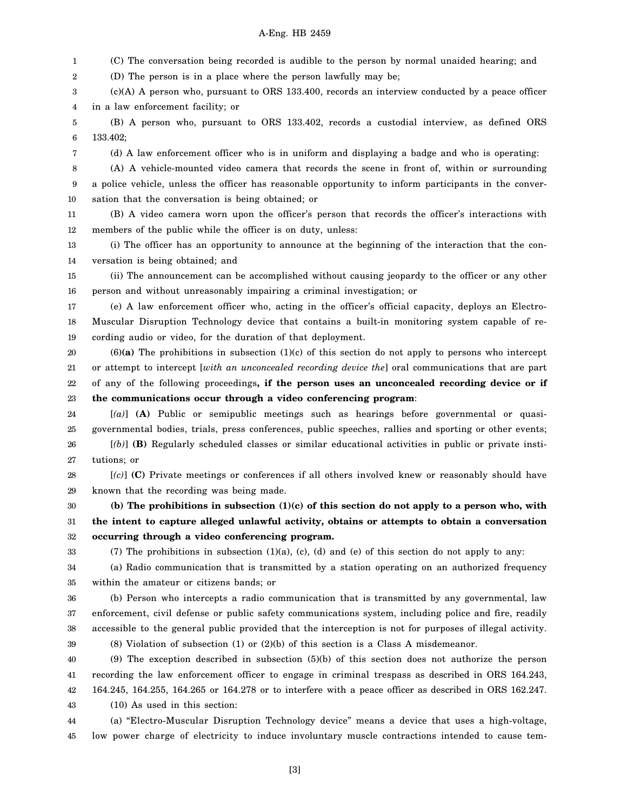## A-Eng. HB 2459

1 (C) The conversation being recorded is audible to the person by normal unaided hearing; and

2 (D) The person is in a place where the person lawfully may be;

3 4 (c)(A) A person who, pursuant to ORS 133.400, records an interview conducted by a peace officer in a law enforcement facility; or

5 6 (B) A person who, pursuant to ORS 133.402, records a custodial interview, as defined ORS 133.402;

7

(d) A law enforcement officer who is in uniform and displaying a badge and who is operating:

8 9 10 (A) A vehicle-mounted video camera that records the scene in front of, within or surrounding a police vehicle, unless the officer has reasonable opportunity to inform participants in the conversation that the conversation is being obtained; or

11 12 (B) A video camera worn upon the officer's person that records the officer's interactions with members of the public while the officer is on duty, unless:

13 14 (i) The officer has an opportunity to announce at the beginning of the interaction that the conversation is being obtained; and

15 16 (ii) The announcement can be accomplished without causing jeopardy to the officer or any other person and without unreasonably impairing a criminal investigation; or

17 18 19 (e) A law enforcement officer who, acting in the officer's official capacity, deploys an Electro-Muscular Disruption Technology device that contains a built-in monitoring system capable of recording audio or video, for the duration of that deployment.

20 21 22 23 (6)**(a)** The prohibitions in subsection (1)(c) of this section do not apply to persons who intercept or attempt to intercept [*with an unconcealed recording device the*] oral communications that are part of any of the following proceedings**, if the person uses an unconcealed recording device or if the communications occur through a video conferencing program**:

24 25 26 [*(a)*] **(A)** Public or semipublic meetings such as hearings before governmental or quasigovernmental bodies, trials, press conferences, public speeches, rallies and sporting or other events; [*(b)*] **(B)** Regularly scheduled classes or similar educational activities in public or private insti-

27 tutions; or

28 29 [*(c)*] **(C)** Private meetings or conferences if all others involved knew or reasonably should have known that the recording was being made.

30 31 32 **(b) The prohibitions in subsection (1)(c) of this section do not apply to a person who, with the intent to capture alleged unlawful activity, obtains or attempts to obtain a conversation occurring through a video conferencing program.**

(7) The prohibitions in subsection  $(1)(a)$ ,  $(c)$ ,  $(d)$  and  $(e)$  of this section do not apply to any:

34 35 (a) Radio communication that is transmitted by a station operating on an authorized frequency within the amateur or citizens bands; or

36 37 38 (b) Person who intercepts a radio communication that is transmitted by any governmental, law enforcement, civil defense or public safety communications system, including police and fire, readily accessible to the general public provided that the interception is not for purposes of illegal activity.

39

33

(8) Violation of subsection (1) or (2)(b) of this section is a Class A misdemeanor.

40 41 42 43 (9) The exception described in subsection (5)(b) of this section does not authorize the person recording the law enforcement officer to engage in criminal trespass as described in ORS 164.243, 164.245, 164.255, 164.265 or 164.278 or to interfere with a peace officer as described in ORS 162.247. (10) As used in this section:

44 45 (a) "Electro-Muscular Disruption Technology device" means a device that uses a high-voltage, low power charge of electricity to induce involuntary muscle contractions intended to cause tem-